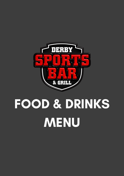

# **MENU FOOD & DRINKS**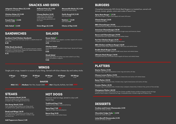**12oz Gammon Steak | 10.95** Served with grilled tomato, grilled mushroom, pineapple rings, 2 fried eggs and french fries

**10oz Rump Steak | 12.95** Prime chargrilled steak cooked to your liking, served with grilled tomato, grilled mushroom and french fries

**Steak and Wings | 16.95** Prime 10oz Rump Steak cooked to your liking, served with grilled tomato, grilled mushroom, 5 chicken wings and french fries

**Add Peppercorn Sauce | 1.50**

#### **BURGERS**

Chargrilled homemade 100% British Beef Burgers in a toasted bun, served with lettuce, tomato, gherkin, onion and a side of french fries

**Spicy Bean Burger V | 7.75** Spicy bean burger in a light crumb topped with sweet chilli sauce

**Classic Burger | 8.50** Chargrilled beef patty

**BBQ Cheeseburger | 10.00** Chargrilled beef patty topped with BBQ sauce and melted cheese

**American Cheeseburger | 10.50** Chargrilled beef patty topped with fried onions, burger sauce and American cheese

**Bacon and Cheeseburger | 10.95** Chargrilled beef patty topped with bacon and melted cheese

**Peri Peri Chicken Burger | 11.75** Chargrilled chicken breast topped with Peri Peri sauce

**BBQ Chicken and Bacon Burger | 12.50** Chargrilled chicken breast topped with bacon, BBQ sauce and melted cheese

**Double Stack Burger | 13.50** Two chargrilled beef patties topped with BBQ sauce, bacon and melted cheese

**Ultimate Stack Burger | 14.95** Chargrilled beef patty and chicken breast topped with bacon and melted cheese

American style hot dogs, served in a bun with french fries

**Traditional Dog | 7.00** Topped with fried onions, mustard and ketchup

**Spicy Dog | 7.50** Topped with spicy mayo and jalapenos

**Bacon Dog | 8.25** Topped with bacon and melted cheese

#### **PLATTERS**

**Starter Platter | 9.95** 4 chicken wings, 4 garlic bread pieces, 6 onion rings and nachos with dips

**Cheese Lovers Platter | 12.95** 4 mozzarella sticks, 4 halloumi fries, 4 jalapeno cheese bites and nachos with melted cheese

**Rams Platter | 22.95** 5 chicken wings, 5 mozzarella sticks, 5 chicken strips, 5 garlic bread pieces and nachos with dips

**Premier Platter | 31.95** 6 chicken wings, 6 mozzarella sticks, 6 chicken strips, 6 jalapeno cheese bites, 6 halloumi fries, portion of fries and dips

**Champions Platter | 60.00** 4 burgers (Classic, Bacon and Cheese, Peri Peri Chicken and BBQ Chicken and Bacon Burgers) served with large portion of fries to share, 2 Traditional Hot Dogs, 4 mozzarella sticks, 4 chicken wings and 4 halloumi fries

### **DESSERTS**

**Cookies and Cream Cheesecake | 5.95** Served with vanilla ice cream

**Chocolate Fudge Cake V | 5.95** Served with vanilla ice cream

**Lotus Biscoff Cheesecake | 5.95** Served with vanilla ice cream

#### **SNACKS AND SIDES**

### **WINGS**

**Cheesy Nachos | 6.50** Crispy tortilla chips topped with melted cheese and jalapeños, served with salsa, guacamole and sour cream

**Jalapeño Cheese Bites (5) | 4.00** Served with sweet chilli dip

#### **Halloumi Fries (5) | 4.00** Served with sweet chilli dip

**Chicken Strips (4) | 5.00** Served with sweet chilli dip

#### **Mozzarella Sticks (4) | 4.00** Served with sweet chilli dip

**Garlic Bread (4) | 2.50** Add cheese **0.50**

**Side Salad V | 3.00 Onion Rings (6) | 2.00**

**French Fries V | 3.00** Add cheese **0.50**

**Twisters V | 3.50** Add cheese **0.50**

**Choice of Dip | 0.50**

#### **SANDWICHES SALADS**

**Southern Fried Chicken Sandwich** SFC strips, lettuce, onion and mayo, served in a ciabatta bread with french fries

**8.50**

#### **Philly Steak Sandwich**

Rump steak cooked to your liking with sautéed mushrooms, peppers and onions in a tomato sauce, topped with melted cheese, served in a ciabatta bread with french fries

**9.75**

**House Salad V** Lettuce, tomatoes, onion, peppers, cucumber, topped with croutons. Served with Caesar sauce **4.95**

**Chicken Salad** House salad topped with grilled chicken breast. Served with Caesar sauce **8.50**

#### **Steak Salad** House salad topped with grilled rump steak cooked to your liking. Served with balsamic vinaigrette **9.00**

Single joint wings, tossed in a sauce of your liking. Served with blue cheese dip and celery sticks

**6 Wings** 6.00

**12 Wings** 10.00

**20 Wings** 18.00

**30 Wings** 25.00

**50 Wings**

40.00

**100 Wings**

70.00

**SAUCES**

**Mild:** BBQ  $\bullet$  | **Medium:** Peri Peri, Sweet Chilli  $\bullet$  | **Hot:** Chipotle, Buffalo, Hot Chilli

### **STEAKS HOT DOGS**